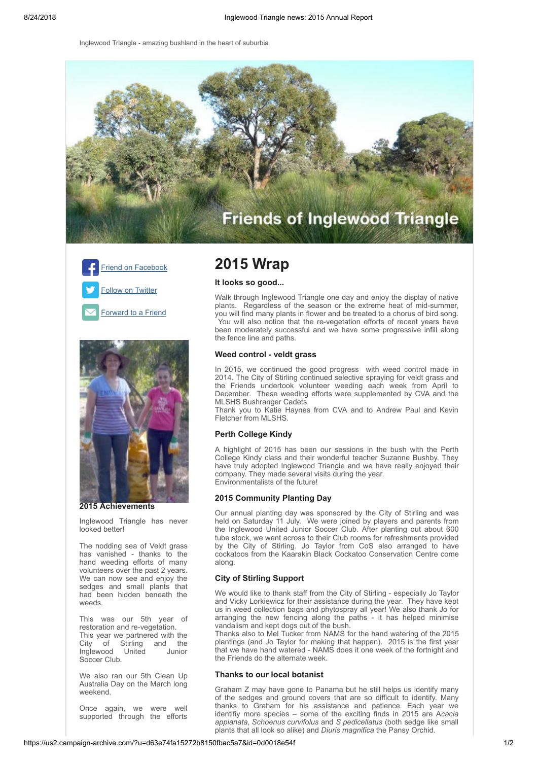Inglewood Triangle - amazing bushland in the heart of suburbia







**2015 Achievements**

Inglewood Triangle has never looked better!

The nodding sea of Veldt grass has vanished - thanks to the hand weeding efforts of many volunteers over the past 2 years. We can now see and enjoy the sedges and small plants that had been hidden beneath the weeds.

This was our 5th year of restoration and re-vegetation. This year we partnered with the City of Stirling and the<br>Inglewood United Junior Inglewood United Soccer Club.

We also ran our 5th Clean Up Australia Day on the March long weekend.

Once again, we were well supported through the efforts

# **2015 Wrap**

## **It looks so good...**

Walk through Inglewood Triangle one day and enjoy the display of native plants. Regardless of the season or the extreme heat of mid-summer, you will find many plants in flower and be treated to a chorus of bird song. You will also notice that the re-vegetation efforts of recent years have been moderately successful and we have some progressive infill along the fence line and paths.

#### **Weed control - veldt grass**

In 2015, we continued the good progress with weed control made in 2014. The City of Stirling continued selective spraying for veldt grass and the Friends undertook volunteer weeding each week from April to December. These weeding efforts were supplemented by CVA and the MLSHS Bushranger Cadets.

Thank you to Katie Haynes from CVA and to Andrew Paul and Kevin Fletcher from MLSHS.

## **Perth College Kindy**

A highlight of 2015 has been our sessions in the bush with the Perth College Kindy class and their wonderful teacher Suzanne Bushby. They have truly adopted Inglewood Triangle and we have really enjoyed their company. They made several visits during the year. Environmentalists of the future!

## **2015 Community Planting Day**

Our annual planting day was sponsored by the City of Stirling and was held on Saturday 11 July. We were joined by players and parents from the Inglewood United Junior Soccer Club. After planting out about 600 tube stock, we went across to their Club rooms for refreshments provided by the City of Stirling. Jo Taylor from CoS also arranged to have cockatoos from the Kaarakin Black Cockatoo Conservation Centre come along.

#### **City of Stirling Support**

We would like to thank staff from the City of Stirling - especially Jo Taylor and Vicky Lorkiewicz for their assistance during the year. They have kept us in weed collection bags and phytospray all year! We also thank Jo for arranging the new fencing along the paths - it has helped minimise vandalism and kept dogs out of the bush.

Thanks also to Mel Tucker from NAMS for the hand watering of the 2015 plantings (and Jo Taylor for making that happen). 2015 is the first year that we have hand watered - NAMS does it one week of the fortnight and the Friends do the alternate week.

#### **Thanks to our local botanist**

Graham Z may have gone to Panama but he still helps us identify many of the sedges and ground covers that are so difficult to identify. Many thanks to Graham for his assistance and patience. Each year we identifiy more species – some of the exciting finds in 2015 are A*cacia applanata*, *Schoenus curvifolus* and *S pedicellatus* (both sedge like small plants that all look so alike) and *Diuris magnifica* the Pansy Orchid.